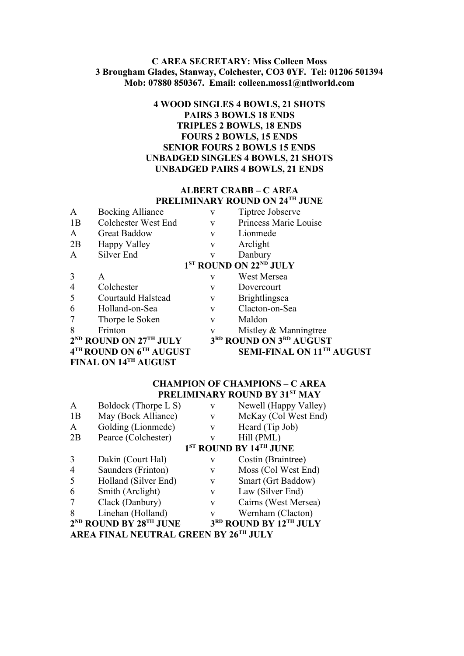## **C AREA SECRETARY: Miss Colleen Moss 3 Brougham Glades, Stanway, Colchester, CO3 0YF. Tel: 01206 501394 Mob: 07880 850367. Email: colleen.moss1@ntlworld.com**

# **4 WOOD SINGLES 4 BOWLS, 21 SHOTS PAIRS 3 BOWLS 18 ENDS TRIPLES 2 BOWLS, 18 ENDS FOURS 2 BOWLS, 15 ENDS SENIOR FOURS 2 BOWLS 15 ENDS UNBADGED SINGLES 4 BOWLS, 21 SHOTS UNBADGED PAIRS 4 BOWLS, 21 ENDS**

### **ALBERT CRABB – C AREA PRELIMINARY ROUND ON 24TH JUNE**

| $\mathbf{A}$         | <b>Bocking Alliance</b>          | V | Tiptree Jobserve                               |  |
|----------------------|----------------------------------|---|------------------------------------------------|--|
| 1B                   | Colchester West End              | V | Princess Marie Louise                          |  |
| $\mathsf{A}$         | <b>Great Baddow</b>              | V | Lionmede                                       |  |
| 2B                   | Happy Valley                     | V | Arclight                                       |  |
| $\mathbf{A}$         | Silver End                       | V | Danbury                                        |  |
|                      |                                  |   | 1 <sup>ST</sup> ROUND ON 22 <sup>ND</sup> JULY |  |
| 3                    | A                                | v | West Mersea                                    |  |
| $\overline{4}$       | Colchester                       | V | Dovercourt                                     |  |
| 5                    | Courtauld Halstead               | V | <b>Brightlingsea</b>                           |  |
| 6                    | Holland-on-Sea                   | V | Clacton-on-Sea                                 |  |
| $\overline{7}$       | Thorpe le Soken                  | V | Maldon                                         |  |
| 8                    | Frinton                          | V | Mistley & Manningtree                          |  |
|                      | $2^{ND}$ ROUND ON $27^{TH}$ JULY |   | 3RD ROUND ON 3RD AUGUST                        |  |
|                      | 4TH ROUND ON 6TH AUGUST          |   | SEMI-FINAL ON 11TH AUGUST                      |  |
| FINAL ON 14TH AUGUST |                                  |   |                                                |  |

#### **CHAMPION OF CHAMPIONS – C AREA PRELIMINARY ROUND BY 31ST MAY**

| Α  | Boldock (Thorpe L S)                           | V | Newell (Happy Valley)                          |
|----|------------------------------------------------|---|------------------------------------------------|
| 1B | May (Bock Alliance)                            | V | McKay (Col West End)                           |
| A  | Golding (Lionmede)                             | V | Heard (Tip Job)                                |
| 2B | Pearce (Colchester)                            | V | Hill (PML)                                     |
|    |                                                |   | 1 <sup>ST</sup> ROUND BY 14 <sup>TH</sup> JUNE |
| 3  | Dakin (Court Hal)                              | V | Costin (Braintree)                             |
| 4  | Saunders (Frinton)                             | V | Moss (Col West End)                            |
| 5  | Holland (Silver End)                           | V | Smart (Grt Baddow)                             |
| 6  | Smith (Arclight)                               | V | Law (Silver End)                               |
| 7  | Clack (Danbury)                                | V | Cairns (West Mersea)                           |
| 8  | Linehan (Holland)                              | V | Wernham (Clacton)                              |
|    | 2 <sup>nd</sup> ROUND BY 28 <sup>th</sup> JUNE |   | 3RD ROUND BY 12TH JULY                         |
|    |                                                |   |                                                |

**AREA FINAL NEUTRAL GREEN BY 26TH JULY**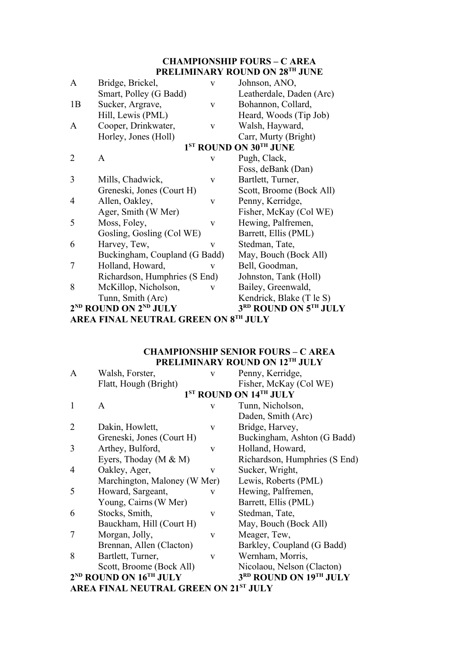# **CHAMPIONSHIP FOURS – C AREA PRELIMINARY ROUND ON 28TH JUNE**

| A              | Bridge, Brickel,                              | V | Johnson, ANO,                      |
|----------------|-----------------------------------------------|---|------------------------------------|
|                | Smart, Polley (G Badd)                        |   | Leatherdale, Daden (Arc)           |
| 1B             | Sucker, Argrave,                              | V | Bohannon, Collard,                 |
|                | Hill, Lewis (PML)                             |   | Heard, Woods (Tip Job)             |
| $\mathbf{A}$   | Cooper, Drinkwater,                           | V | Walsh, Hayward,                    |
|                | Horley, Jones (Holl)                          |   | Carr, Murty (Bright)               |
|                |                                               |   | 1 <sup>ST</sup> ROUND ON 30TH JUNE |
| $\overline{2}$ | A                                             | V | Pugh, Clack,                       |
|                |                                               |   | Foss, deBank (Dan)                 |
| 3              | Mills, Chadwick,                              | V | Bartlett, Turner,                  |
|                | Greneski, Jones (Court H)                     |   | Scott, Broome (Bock All)           |
| 4              | Allen, Oakley,                                | V | Penny, Kerridge,                   |
|                | Ager, Smith (W Mer)                           |   | Fisher, McKay (Col WE)             |
| 5              | Moss, Foley,                                  | V | Hewing, Palfremen,                 |
|                | Gosling, Gosling (Col WE)                     |   | Barrett, Ellis (PML)               |
| 6              | Harvey, Tew,                                  | V | Stedman, Tate,                     |
|                | Buckingham, Coupland (G Badd)                 |   | May, Bouch (Bock All)              |
| 7              | Holland, Howard,                              | V | Bell, Goodman,                     |
|                | Richardson, Humphries (S End)                 |   | Johnston, Tank (Holl)              |
| 8              | McKillop, Nicholson,                          | V | Bailey, Greenwald,                 |
|                | Tunn, Smith (Arc)                             |   | Kendrick, Blake (T le S)           |
|                | 2 <sup>ND</sup> ROUND ON 2 <sup>ND</sup> JULY |   | 3RD ROUND ON 5TH JULY              |
|                | AREA FINAL NEUTRAL GREEN ON 8TH JULY          |   |                                    |

# **CHAMPIONSHIP SENIOR FOURS – C AREA PRELIMINARY ROUND ON 12TH JULY**

| A              | Walsh, Forster,                                | V            | Penny, Kerridge,                   |
|----------------|------------------------------------------------|--------------|------------------------------------|
|                | Flatt, Hough (Bright)                          |              | Fisher, McKay (Col WE)             |
|                |                                                |              | 1 <sup>ST</sup> ROUND ON 14TH JULY |
| 1              | A                                              | $\mathbf{V}$ | Tunn, Nicholson,                   |
|                |                                                |              | Daden, Smith (Arc)                 |
| $\overline{2}$ | Dakin, Howlett,                                | V            | Bridge, Harvey,                    |
|                | Greneski, Jones (Court H)                      |              | Buckingham, Ashton (G Badd)        |
| 3              | Arthey, Bulford,                               | $\mathbf{V}$ | Holland, Howard,                   |
|                | Eyers, Thoday (M & M)                          |              | Richardson, Humphries (S End)      |
| 4              | Oakley, Ager,                                  | V            | Sucker, Wright,                    |
|                | Marchington, Maloney (W Mer)                   |              | Lewis, Roberts (PML)               |
| 5              | Howard, Sargeant,                              | V            | Hewing, Palfremen,                 |
|                | Young, Cairns (W Mer)                          |              | Barrett, Ellis (PML)               |
| 6              | Stocks, Smith,                                 | V            | Stedman, Tate,                     |
|                | Bauckham, Hill (Court H)                       |              | May, Bouch (Bock All)              |
| 7              | Morgan, Jolly,                                 | V            | Meager, Tew,                       |
|                | Brennan, Allen (Clacton)                       |              | Barkley, Coupland (G Badd)         |
| 8              | Bartlett, Turner,                              | $\mathbf{V}$ | Wernham, Morris,                   |
|                | Scott, Broome (Bock All)                       |              | Nicolaou, Nelson (Clacton)         |
|                | 2 <sup>ND</sup> ROUND ON 16 <sup>TH</sup> JULY |              | 3RD ROUND ON 19TH JULY             |
|                | <b>AREA FINAL NEUTRAL GREEN ON 21ST JULY</b>   |              |                                    |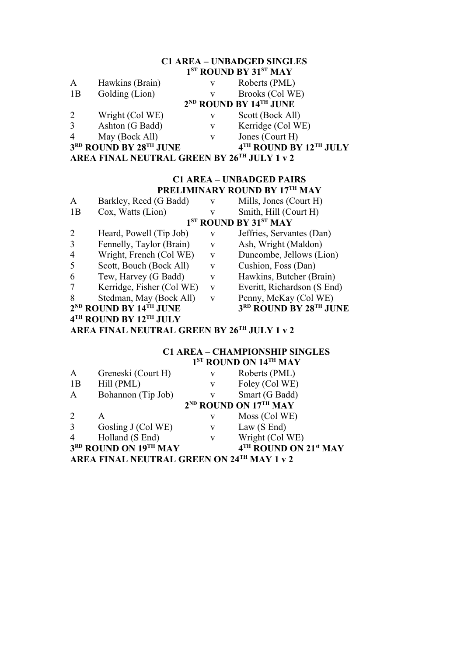# **C1 AREA – UNBADGED SINGLES**

|                |                                             |   | 1 <sup>ST</sup> ROUND BY 31 <sup>ST</sup> MAY |
|----------------|---------------------------------------------|---|-----------------------------------------------|
| $\mathbf{A}$   | Hawkins (Brain)                             | V | Roberts (PML)                                 |
| 1B             | Golding (Lion)                              | V | Brooks (Col WE)                               |
|                |                                             |   | $2^{ND}$ ROUND BY $14^{TH}$ JUNE              |
| 2              | Wright (Col WE)                             | V | Scott (Bock All)                              |
| $\mathfrak{Z}$ | Ashton (G Badd)                             | V | Kerridge (Col WE)                             |
| $\overline{4}$ | May (Bock All)                              | V | Jones (Court H)                               |
|                | 3RD ROUND BY 28TH JUNE                      |   | 4TH ROUND BY 12TH JULY                        |
|                | AREA FINAL NEUTRAL GREEN BY 26TH JULY 1 v 2 |   |                                               |

#### **C1 AREA – UNBADGED PAIRS PRELIMINARY ROUND BY 17TH MAY**

| A                                           | Barkley, Reed (G Badd)           | $\mathbf{V}$ | Mills, Jones (Court H)                        |
|---------------------------------------------|----------------------------------|--------------|-----------------------------------------------|
| 1B                                          | Cox, Watts (Lion)                | V            | Smith, Hill (Court H)                         |
|                                             |                                  |              | 1 <sup>ST</sup> ROUND BY 31 <sup>ST</sup> MAY |
| $\overline{2}$                              | Heard, Powell (Tip Job)          | V            | Jeffries, Servantes (Dan)                     |
| 3                                           | Fennelly, Taylor (Brain)         | V            | Ash, Wright (Maldon)                          |
| $\overline{4}$                              | Wright, French (Col WE)          | V            | Duncombe, Jellows (Lion)                      |
| 5                                           | Scott, Bouch (Bock All)          | V            | Cushion, Foss (Dan)                           |
| 6                                           | Tew, Harvey (G Badd)             | V            | Hawkins, Butcher (Brain)                      |
| 7                                           | Kerridge, Fisher (Col WE)        | V            | Everitt, Richardson (S End)                   |
| 8                                           | Stedman, May (Bock All)          | $\mathbf{V}$ | Penny, McKay (Col WE)                         |
|                                             | $2^{ND}$ ROUND BY $14^{TH}$ JUNE |              | 3RD ROUND BY 28TH JUNE                        |
|                                             | 4TH ROUND BY 12TH JULY           |              |                                               |
| AREA FINAL NEUTRAL GREEN BY 26TH JULY 1 v 2 |                                  |              |                                               |

# **C1 AREA – CHAMPIONSHIP SINGLES 1 ST ROUND ON 14TH MAY**

| A              | Greneski (Court H)                         | V            | Roberts (PML)                     |  |
|----------------|--------------------------------------------|--------------|-----------------------------------|--|
| 1B             | Hill (PML)                                 | V            | Foley (Col WE)                    |  |
| $\mathbf{A}$   | Bohannon (Tip Job)                         | V            | Smart (G Badd)                    |  |
|                |                                            |              | 2 <sup>ND</sup> ROUND ON 17TH MAY |  |
| $\overline{2}$ | A                                          | V            | Moss (Col WE)                     |  |
| $\overline{3}$ | Gosling J (Col WE)                         | V            | Law $(S \text{ End})$             |  |
| $\overline{4}$ | Holland (S End)                            | $\mathbf{V}$ | Wright (Col WE)                   |  |
|                | 3RD ROUND ON 19TH MAY                      |              | 4TH ROUND ON 21st MAY             |  |
|                | AREA FINAL NEUTRAL GREEN ON 24TH MAY 1 v 2 |              |                                   |  |
|                |                                            |              |                                   |  |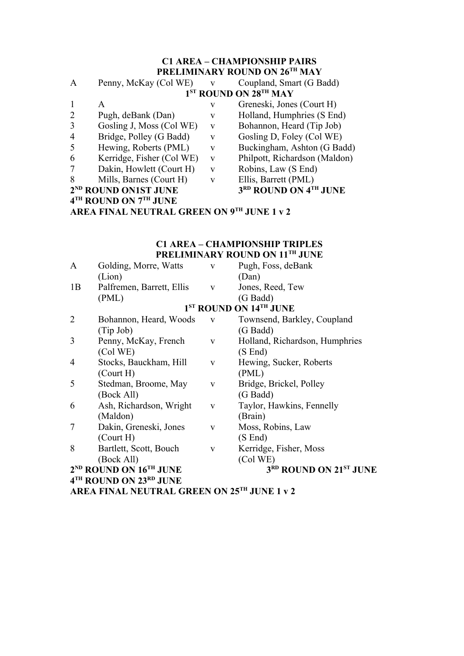# **C1 AREA – CHAMPIONSHIP PAIRS PRELIMINARY ROUND ON 26TH MAY**

| A | Penny, McKay (Col WE)                                                            | $\mathbf{V}$ | Coupland, Smart (G Badd)                      |
|---|----------------------------------------------------------------------------------|--------------|-----------------------------------------------|
|   |                                                                                  |              | 1 <sup>ST</sup> ROUND ON 28 <sup>TH</sup> MAY |
|   | A                                                                                | v            | Greneski, Jones (Court H)                     |
| 2 | Pugh, deBank (Dan)                                                               | v            | Holland, Humphries (S End)                    |
| 3 | Gosling J, Moss (Col WE)                                                         | V            | Bohannon, Heard (Tip Job)                     |
| 4 | Bridge, Polley (G Badd)                                                          | V            | Gosling D, Foley (Col WE)                     |
| 5 | Hewing, Roberts (PML)                                                            | V            | Buckingham, Ashton (G Badd)                   |
| 6 | Kerridge, Fisher (Col WE)                                                        | V            | Philpott, Richardson (Maldon)                 |
| 7 | Dakin, Howlett (Court H)                                                         | V            | Robins, Law (S End)                           |
| 8 | Mills, Barnes (Court H)                                                          | v            | Ellis, Barrett (PML)                          |
|   | 2 <sup>ND</sup> ROUND ON1ST JUNE                                                 |              | 3RD ROUND ON 4TH JUNE                         |
|   | $\lambda$ <sup>TU</sup> mornim on $\lambda$ <sup>TU</sup> <i>xx</i> in $\lambda$ |              |                                               |

**4 TH ROUND ON 7TH JUNE**

**AREA FINAL NEUTRAL GREEN ON 9TH JUNE 1 v 2**

# **C1 AREA – CHAMPIONSHIP TRIPLES PRELIMINARY ROUND ON 11TH JUNE**

|                | AREA FINAL NEUTRAL GREEN ON 25TH JUNE 1 v 2    |              |                                    |
|----------------|------------------------------------------------|--------------|------------------------------------|
|                | 4 <sup>TH</sup> ROUND ON 23 <sup>RD</sup> JUNE |              |                                    |
|                | $2^{ND}$ ROUND ON $16^{TH}$ JUNE               |              | 3RD ROUND ON 21ST JUNE             |
|                | (Bock All)                                     |              | (Col WE)                           |
| 8              | Bartlett, Scott, Bouch                         | V            | Kerridge, Fisher, Moss             |
|                | $($ Court $H)$                                 |              | (S End)                            |
| 7              | Dakin, Greneski, Jones                         | V            | Moss, Robins, Law                  |
|                | (Maldon)                                       |              | (Brain)                            |
| 6              | Ash, Richardson, Wright                        | $\mathbf{V}$ | Taylor, Hawkins, Fennelly          |
|                | (Bock All)                                     |              | (G Badd)                           |
| 5              | Stedman, Broome, May                           | V            | Bridge, Brickel, Polley            |
|                | $($ Court H $)$                                |              | (PML)                              |
| 4              | Stocks, Bauckham, Hill                         | V            | Hewing, Sucker, Roberts            |
|                | (Col WE)                                       |              | (S End)                            |
| 3              | Penny, McKay, French                           | V            | Holland, Richardson, Humphries     |
|                | (Tip Job)                                      |              | (G Badd)                           |
| $\overline{2}$ | Bohannon, Heard, Woods                         | V            | Townsend, Barkley, Coupland        |
|                |                                                |              | 1 <sup>ST</sup> ROUND ON 14TH JUNE |
|                | (PML)                                          |              | (G Badd)                           |
| 1B             | Palfremen, Barrett, Ellis                      | $\mathbf V$  | Jones, Reed, Tew                   |
|                | (Lion)                                         |              | (Dan)                              |
| A              | Golding, Morre, Watts                          | V            | Pugh, Foss, deBank                 |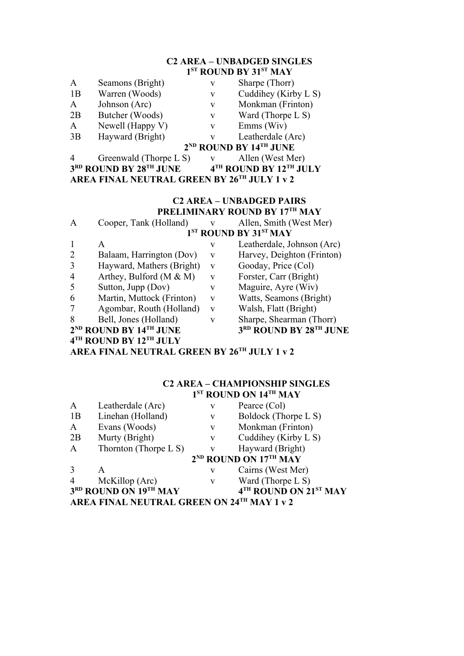# **C2 AREA – UNBADGED SINGLES 1 ST ROUND BY 31ST MAY**

| $\mathsf{A}$ | Seamons (Bright) | v | Sharpe (Thorr)                   |
|--------------|------------------|---|----------------------------------|
| 1B           | Warren (Woods)   | v | Cuddihey (Kirb                   |
| $\mathsf{A}$ | Johnson (Arc)    | V | Monkman (Frin                    |
| 2B           | Butcher (Woods)  | v | Ward (Thorpe I                   |
| A            | Newell (Happy V) | v | $Emms$ (Wiv)                     |
| 3B           | Hayward (Bright) |   | Leatherdale (Ar                  |
|              |                  |   | $2^{ND}$ ROUND BY $14^{TH}$ JUNE |
|              |                  |   |                                  |

- uddihey (Kirby L S) Ionkman (Frinton)
- $\text{Zard}$  (Thorpe L S)
- $mms(Wiv)$
- eatherdale (Arc)  $\bf{Y}$  14<sup>th</sup> JUNE

- 4 Greenwald (Thorpe L S) v Allen (West Mer)
	- $4^{TH}$  **ROUND BY 12<sup>TH</sup> JULY**

**3 RD ROUND BY 28TH JUNE 4 AREA FINAL NEUTRAL GREEN BY 26TH JULY 1 v 2**

# **C2 AREA – UNBADGED PAIRS PRELIMINARY ROUND BY 17TH MAY**

| A              | Cooper, Tank (Holland)           | $\mathbf{V}$ | Allen, Smith (West Mer)                       |
|----------------|----------------------------------|--------------|-----------------------------------------------|
|                |                                  |              | 1 <sup>ST</sup> ROUND BY 31 <sup>ST</sup> MAY |
|                | A                                | V            | Leatherdale, Johnson (Arc)                    |
| 2              | Balaam, Harrington (Dov)         | V            | Harvey, Deighton (Frinton)                    |
| 3              | Hayward, Mathers (Bright)        | V            | Gooday, Price (Col)                           |
| $\overline{4}$ | Arthey, Bulford (M $\&$ M)       | V            | Forster, Carr (Bright)                        |
| 5              | Sutton, Jupp (Dov)               | V            | Maguire, Ayre (Wiv)                           |
| 6              | Martin, Muttock (Frinton)        | $\mathbf{V}$ | Watts, Seamons (Bright)                       |
| 7              | Agombar, Routh (Holland)         | V            | Walsh, Flatt (Bright)                         |
| 8              | Bell, Jones (Holland)            | v            | Sharpe, Shearman (Thorr)                      |
|                | $2^{ND}$ ROUND BY $14^{TH}$ JUNE |              | 3RD ROUND BY 28TH JUNE                        |
|                | 4TH ROUND BY 12TH JULY           |              |                                               |

**AREA FINAL NEUTRAL GREEN BY 26TH JULY 1 v 2**

# **C2 AREA – CHAMPIONSHIP SINGLES 1 ST ROUND ON 14TH MAY**

| $\mathbf{A}$   | Leatherdale (Arc)                          | V            | Pearce (Col)                      |
|----------------|--------------------------------------------|--------------|-----------------------------------|
| 1B             | Linehan (Holland)                          | V            | Boldock (Thorpe L S)              |
| $\mathbf{A}$   | Evans (Woods)                              | V            | Monkman (Frinton)                 |
| 2B             | Murty (Bright)                             | V            | Cuddihey (Kirby L S)              |
| $\mathbf{A}$   | Thornton (Thorpe $L S$ )                   | $\mathbf{V}$ | Hayward (Bright)                  |
|                |                                            |              | 2 <sup>ND</sup> ROUND ON 17TH MAY |
| 3              | A                                          | V            | Cairns (West Mer)                 |
| $\overline{4}$ | McKillop (Arc)                             | V            | Ward (Thorpe $L S$ )              |
|                | 3RD ROUND ON 19TH MAY                      |              | 4TH ROUND ON 21ST MAY             |
|                | AREA FINAL NEUTRAL GREEN ON 24TH MAY 1 v 2 |              |                                   |